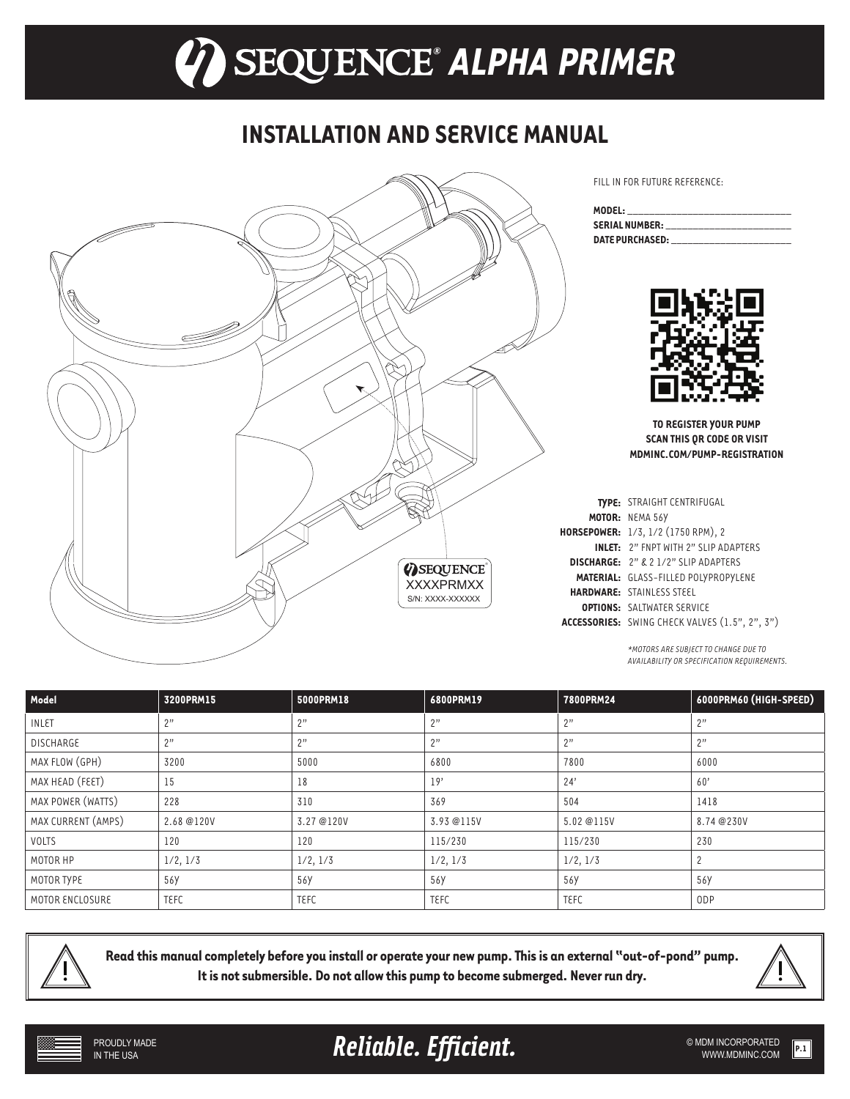# *® ALPHA PRIMER*

### **INSTALLATION AND SERVICE MANUAL**



FILL IN FOR FUTURE REFERENCE:

| MODEL: ________________________ |                                         |
|---------------------------------|-----------------------------------------|
|                                 | SERIAL NUMBER: ________________________ |
|                                 | DATE PURCHASED: THE PURCHASED:          |



**TO REGISTER YOUR PUMP SCAN THIS QR CODE OR VISIT MDMINC.COM/PUMP-REGISTRATION**

| TYPE: STRAIGHT CENTRIFUGAL                     |  |
|------------------------------------------------|--|
| MOTOR: NEMA 56Y                                |  |
| HORSEPOWER: 1/3, 1/2 (1750 RPM), 2             |  |
| <b>INLET:</b> 2" ENPT WITH 2" SLIP ADAPTERS    |  |
| <b>DISCHARGE:</b> 2" & 2 1/2" SLIP ADAPTERS    |  |
| <b>MATERIAL: GLASS-FILLED POLYPROPYLENE</b>    |  |
| <b>HARDWARE:</b> STAINLESS STEEL               |  |
| <b>OPTIONS: SALTWATER SERVICE</b>              |  |
| ACCESSORIES: SWING CHECK VALVES (1.5", 2", 3") |  |

*\*MOTORS ARE SUBJECT TO CHANGE DUE TO AVAILABILITY OR SPECIFICATION REQUIREMENTS.* 

| Model              | 3200PRM15   | 5000PRM18   | 6800PRM19   | 7800PRM24   | 6000PRM60 (HIGH-SPEED) |
|--------------------|-------------|-------------|-------------|-------------|------------------------|
| INLET              | 2"          | 2"          | 2"          | 2"          | 2"                     |
| <b>DISCHARGE</b>   | 2"          | 2"          | 2"          | 2"          | 2"                     |
| MAX FLOW (GPH)     | 3200        | 5000        | 6800        | 7800        | 6000                   |
| MAX HEAD (FEET)    | 15          | 18          | 19'         | 24'         | 60'                    |
| MAX POWER (WATTS)  | 228         | 310         | 369         | 504         | 1418                   |
| MAX CURRENT (AMPS) | 2.68 @120V  | 3.27 @120V  | 3.93 @115V  | 5.02 @115V  | 8.74 @230V             |
| VOLTS              | 120         | 120         | 115/230     | 115/230     | 230                    |
| MOTOR HP           | 1/2, 1/3    | 1/2, 1/3    | 1/2, 1/3    | 1/2, 1/3    |                        |
| MOTOR TYPE         | 56Y         | 56Y         | 56Y         | 56Y         | 56Y                    |
| MOTOR ENCLOSURE    | <b>TEFC</b> | <b>TEFC</b> | <b>TEFC</b> | <b>TEFC</b> | 0 <sub>DP</sub>        |



**Read this manual completely before you install or operate your new pump. This is an external "out-of-pond" pump. It is not submersible. Do not allow this pump to become submerged. Never run dry.** 



Reliable. Efficient. **Example 2018** SMDM INCORPORATED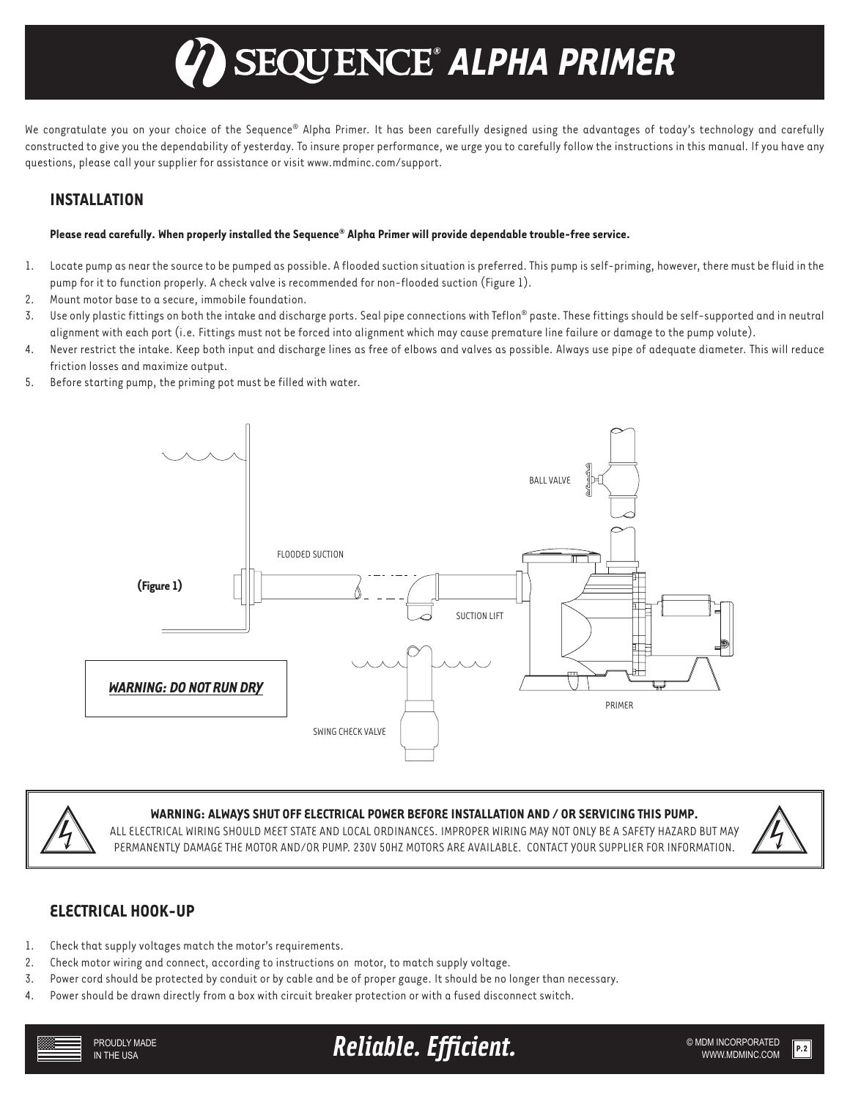## *® ALPHA PRIMER*

We congratulate you on your choice of the Sequence® Alpha Primer. It has been carefully designed using the advantages of today's technology and carefully constructed to give you the dependability of yesterday. To insure proper performance, we urge you to carefully follow the instructions in this manual. If you have any questions, please call your supplier for assistance or visit www.mdminc.com/support.

### **INSTALLATION**

### **Please read carefully. When properly installed the Sequence® Alpha Primer will provide dependable trouble-free service.**

- 1. Locate pump as near the source to be pumped as possible. A flooded suction situation is preferred. This pump is self-priming, however, there must be fluid in the pump for it to function properly. A check valve is recommended for non-flooded suction (Figure 1).
- 2. Mount motor base to a secure, immobile foundation.
- 3. Use only plastic fittings on both the intake and discharge ports. Seal pipe connections with Teflon® paste. These fittings should be self-supported and in neutral alignment with each port (i.e. Fittings must not be forced into alignment which may cause premature line failure or damage to the pump volute).
- 4. Never restrict the intake. Keep both input and discharge lines as free of elbows and valves as possible. Always use pipe of adequate diameter. This will reduce friction losses and maximize output.
- 5. Before starting pump, the priming pot must be filled with water.





#### **WARNING: ALWAYS SHUT OFF ELECTRICAL POWER BEFORE INSTALLATION AND / OR SERVICING THIS PUMP.**

ALL ELECTRICAL WIRING SHOULD MEET STATE AND LOCAL ORDINANCES. IMPROPER WIRING MAY NOT ONLY BE A SAFETY HAZARD BUT MAY PERMANENTLY DAMAGE THE MOTOR AND/OR PUMP. 230V 50HZ MOTORS ARE AVAILABLE. CONTACT YOUR SUPPLIER FOR INFORMATION.



### **ELECTRICAL HOOK-UP**

- 1. Check that supply voltages match the motor's requirements.
- 2. Check motor wiring and connect, according to instructions on motor, to match supply voltage.
- 3. Power cord should be protected by conduit or by cable and be of proper gauge. It should be no longer than necessary.
- 4. Power should be drawn directly from a box with circuit breaker protection or with a fused disconnect switch.



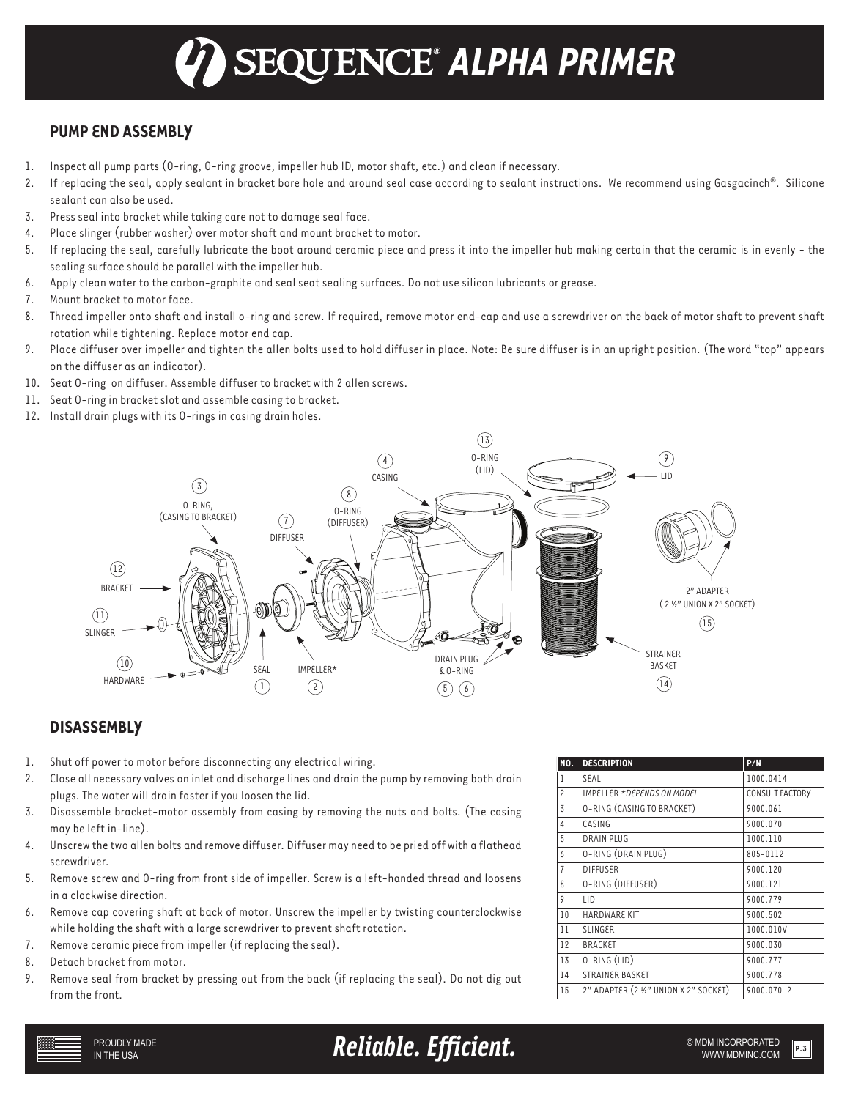### *® ALPHA PRIMER*

### **PUMP END ASSEMBLY**

- 1. Inspect all pump parts (O-ring, O-ring groove, impeller hub ID, motor shaft, etc.) and clean if necessary.
- 2. If replacing the seal, apply sealant in bracket bore hole and around seal case according to sealant instructions. We recommend using Gasgacinch®. Silicone sealant can also be used.
- 3. Press seal into bracket while taking care not to damage seal face.
- 4. Place slinger (rubber washer) over motor shaft and mount bracket to motor.
- 5. If replacing the seal, carefully lubricate the boot around ceramic piece and press it into the impeller hub making certain that the ceramic is in evenly the sealing surface should be parallel with the impeller hub.
- 6. Apply clean water to the carbon-graphite and seal seat sealing surfaces. Do not use silicon lubricants or grease.
- 7. Mount bracket to motor face.
- 8. Thread impeller onto shaft and install o-ring and screw. If required, remove motor end-cap and use a screwdriver on the back of motor shaft to prevent shaft rotation while tightening. Replace motor end cap.
- 9. Place diffuser over impeller and tighten the allen bolts used to hold diffuser in place. Note: Be sure diffuser is in an upright position. (The word "top" appears on the diffuser as an indicator).
- 10. Seat O-ring on diffuser. Assemble diffuser to bracket with 2 allen screws.
- 11. Seat O-ring in bracket slot and assemble casing to bracket.
- 12. Install drain plugs with its O-rings in casing drain holes.



### **DISASSEMBLY**

- 1. Shut off power to motor before disconnecting any electrical wiring.
- 2. Close all necessary valves on inlet and discharge lines and drain the pump by removing both drain plugs. The water will drain faster if you loosen the lid.
- 3. Disassemble bracket-motor assembly from casing by removing the nuts and bolts. (The casing may be left in-line).
- 4. Unscrew the two allen bolts and remove diffuser. Diffuser may need to be pried off with a flathead screwdriver.
- 5. Remove screw and O-ring from front side of impeller. Screw is a left-handed thread and loosens in a clockwise direction.
- 6. Remove cap covering shaft at back of motor. Unscrew the impeller by twisting counterclockwise while holding the shaft with a large screwdriver to prevent shaft rotation.
- 7. Remove ceramic piece from impeller (if replacing the seal).
- 8. Detach bracket from motor.
- 9. Remove seal from bracket by pressing out from the back (if replacing the seal). Do not dig out from the front.

| NO.            | <b>DESCRIPTION</b>                    | P/N             |
|----------------|---------------------------------------|-----------------|
| 1              | SEAL                                  | 1000.0414       |
| $\overline{2}$ | IMPELLER *DEPENDS ON MODEL            | CONSULT FACTORY |
| 3              | O-RING (CASING TO BRACKET)            | 9000.061        |
| $\overline{4}$ | CASING                                | 9000.070        |
| 5              | <b>DRAIN PLUG</b>                     | 1000.110        |
| 6              | O-RING (DRAIN PLUG)                   | 805-0112        |
| $\overline{7}$ | <b>DIFFUSER</b>                       | 9000.120        |
| 8              | O-RING (DIFFUSER)                     | 9000.121        |
| 9              | LID                                   | 9000.779        |
| 10             | <b>HARDWARE KIT</b>                   | 9000.502        |
| 11             | <b>SLINGER</b>                        | 1000.010V       |
| 12             | <b>BRACKET</b>                        | 9000.030        |
| 13             | 0-RING (LID)                          | 9000.777        |
| 14             | <b>STRAINER BASKET</b>                | 9000.778        |
| 15             | 2" ADAPTER (2 1/2" UNION X 2" SOCKET) | 9000.070-2      |